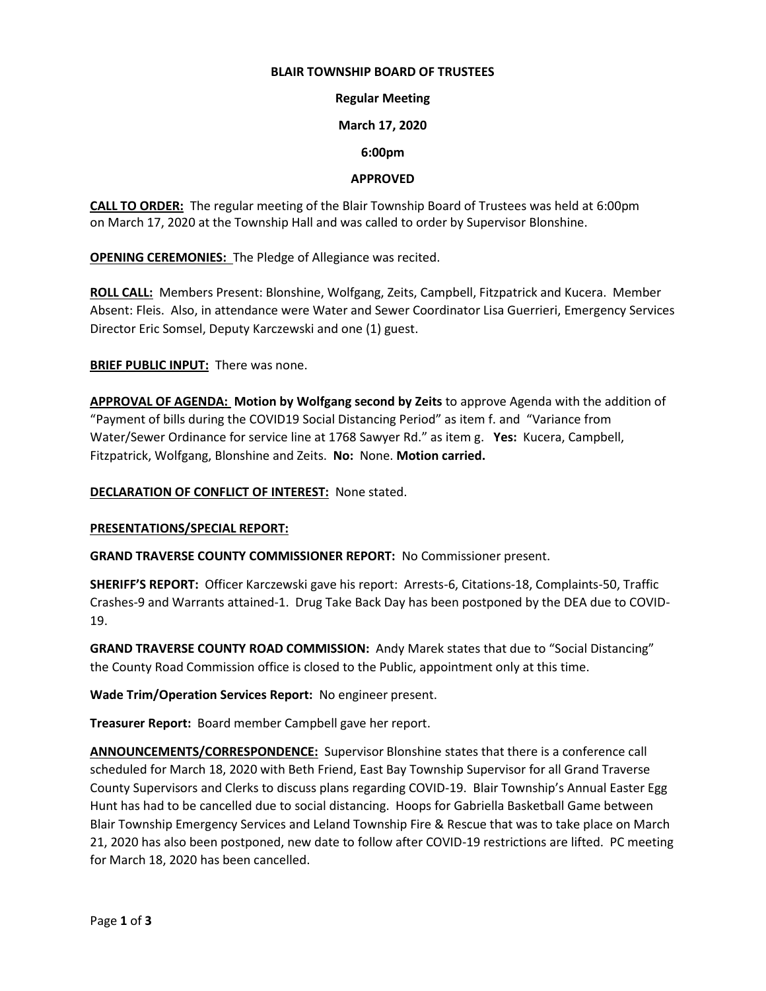#### **BLAIR TOWNSHIP BOARD OF TRUSTEES**

## **Regular Meeting**

### **March 17, 2020**

### **6:00pm**

## **APPROVED**

**CALL TO ORDER:** The regular meeting of the Blair Township Board of Trustees was held at 6:00pm on March 17, 2020 at the Township Hall and was called to order by Supervisor Blonshine.

**OPENING CEREMONIES:** The Pledge of Allegiance was recited.

**ROLL CALL:** Members Present: Blonshine, Wolfgang, Zeits, Campbell, Fitzpatrick and Kucera. Member Absent: Fleis. Also, in attendance were Water and Sewer Coordinator Lisa Guerrieri, Emergency Services Director Eric Somsel, Deputy Karczewski and one (1) guest.

**BRIEF PUBLIC INPUT:** There was none.

**APPROVAL OF AGENDA: Motion by Wolfgang second by Zeits** to approve Agenda with the addition of "Payment of bills during the COVID19 Social Distancing Period" as item f. and "Variance from Water/Sewer Ordinance for service line at 1768 Sawyer Rd." as item g. **Yes:** Kucera, Campbell, Fitzpatrick, Wolfgang, Blonshine and Zeits. **No:** None. **Motion carried.**

**DECLARATION OF CONFLICT OF INTEREST:** None stated.

#### **PRESENTATIONS/SPECIAL REPORT:**

**GRAND TRAVERSE COUNTY COMMISSIONER REPORT:** No Commissioner present.

**SHERIFF'S REPORT:** Officer Karczewski gave his report: Arrests-6, Citations-18, Complaints-50, Traffic Crashes-9 and Warrants attained-1. Drug Take Back Day has been postponed by the DEA due to COVID-19.

**GRAND TRAVERSE COUNTY ROAD COMMISSION:** Andy Marek states that due to "Social Distancing" the County Road Commission office is closed to the Public, appointment only at this time.

**Wade Trim/Operation Services Report:** No engineer present.

**Treasurer Report:** Board member Campbell gave her report.

**ANNOUNCEMENTS/CORRESPONDENCE:** Supervisor Blonshine states that there is a conference call scheduled for March 18, 2020 with Beth Friend, East Bay Township Supervisor for all Grand Traverse County Supervisors and Clerks to discuss plans regarding COVID-19. Blair Township's Annual Easter Egg Hunt has had to be cancelled due to social distancing. Hoops for Gabriella Basketball Game between Blair Township Emergency Services and Leland Township Fire & Rescue that was to take place on March 21, 2020 has also been postponed, new date to follow after COVID-19 restrictions are lifted. PC meeting for March 18, 2020 has been cancelled.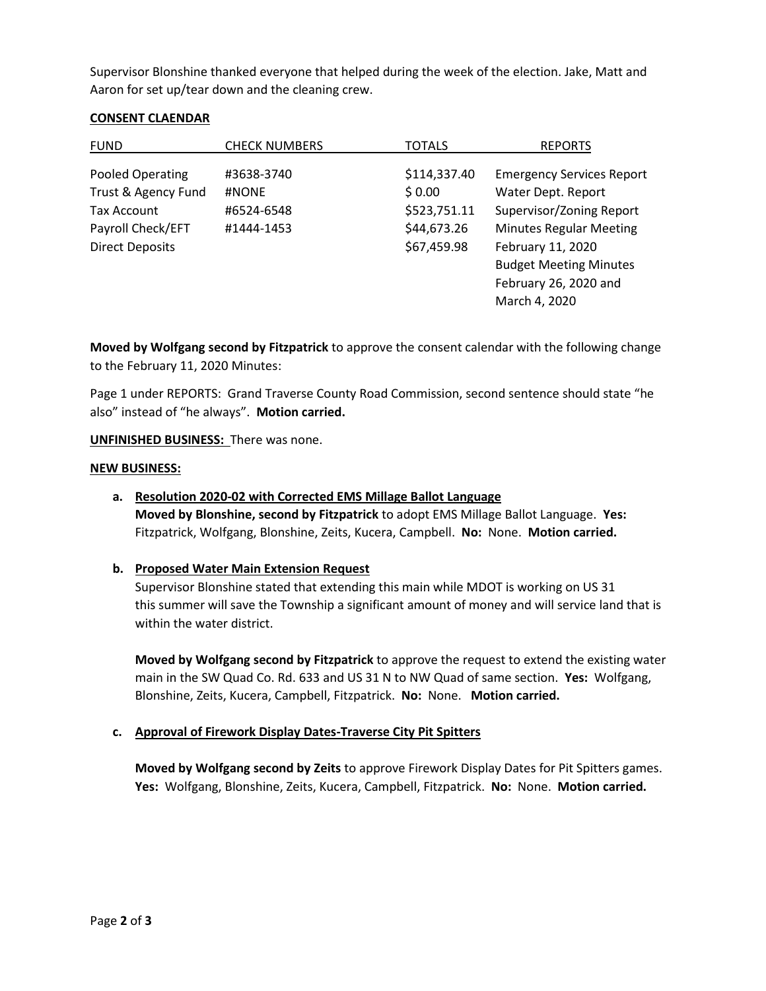Supervisor Blonshine thanked everyone that helped during the week of the election. Jake, Matt and Aaron for set up/tear down and the cleaning crew.

## **CONSENT CLAENDAR**

| <b>FUND</b>             | <b>CHECK NUMBERS</b> | TOTALS       | <b>REPORTS</b>                   |
|-------------------------|----------------------|--------------|----------------------------------|
| <b>Pooled Operating</b> | #3638-3740           | \$114,337.40 | <b>Emergency Services Report</b> |
| Trust & Agency Fund     | #NONE                | \$0.00       | Water Dept. Report               |
| Tax Account             | #6524-6548           | \$523,751.11 | Supervisor/Zoning Report         |
| Payroll Check/EFT       | #1444-1453           | \$44,673.26  | <b>Minutes Regular Meeting</b>   |
| <b>Direct Deposits</b>  |                      | \$67,459.98  | February 11, 2020                |
|                         |                      |              | <b>Budget Meeting Minutes</b>    |
|                         |                      |              | February 26, 2020 and            |
|                         |                      |              | March 4, 2020                    |

**Moved by Wolfgang second by Fitzpatrick** to approve the consent calendar with the following change to the February 11, 2020 Minutes:

Page 1 under REPORTS: Grand Traverse County Road Commission, second sentence should state "he also" instead of "he always". **Motion carried.**

**UNFINISHED BUSINESS:** There was none.

### **NEW BUSINESS:**

## **a. Resolution 2020-02 with Corrected EMS Millage Ballot Language**

**Moved by Blonshine, second by Fitzpatrick** to adopt EMS Millage Ballot Language. **Yes:**  Fitzpatrick, Wolfgang, Blonshine, Zeits, Kucera, Campbell. **No:** None. **Motion carried.**

## **b. Proposed Water Main Extension Request**

Supervisor Blonshine stated that extending this main while MDOT is working on US 31 this summer will save the Township a significant amount of money and will service land that is within the water district.

**Moved by Wolfgang second by Fitzpatrick** to approve the request to extend the existing water main in the SW Quad Co. Rd. 633 and US 31 N to NW Quad of same section. **Yes:** Wolfgang, Blonshine, Zeits, Kucera, Campbell, Fitzpatrick. **No:** None. **Motion carried.**

## **c. Approval of Firework Display Dates-Traverse City Pit Spitters**

**Moved by Wolfgang second by Zeits** to approve Firework Display Dates for Pit Spitters games. **Yes:** Wolfgang, Blonshine, Zeits, Kucera, Campbell, Fitzpatrick. **No:** None. **Motion carried.**